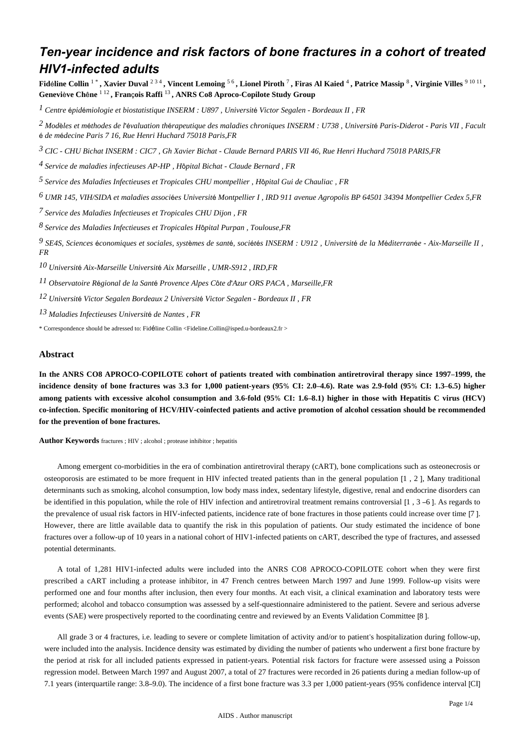# Ten-year incidence and risk factors of bone fractures in a cohort of treated **HIV1-infected adults**

Fidéline Collin<sup>1\*</sup>, Xavier Duval<sup>234</sup>, Vincent Lemoing<sup>56</sup>, Lionel Piroth<sup>7</sup>, Firas Al Kaied<sup>4</sup>, Patrice Massip<sup>8</sup>, Virginie Villes<sup>91011</sup>, Geneviève Chêne<sup>112</sup>, François Raffi<sup>13</sup>, ANRS Co8 Aproco-Copilote Study Group

<sup>1</sup> Centre épidémiologie et biostatistique INSERM : U897, Université Victor Segalen - Bordeaux II, FR

 $2$  Modèles et méthodes de l'évaluation thérapeutique des maladies chroniques INSERM : U738, Université Paris-Diderot - Paris VII, Facult é de médecine Paris 7 16, Rue Henri Huchard 75018 Paris, FR

 $3$  CIC - CHU Bichat INSERM : CIC7, Gh Xavier Bichat - Claude Bernard PARIS VII 46, Rue Henri Huchard 75018 PARIS, FR

 $\frac{4}{3}$  Service de maladies infectieuses AP-HP, Hôpital Bichat - Claude Bernard, FR

 $5$  Service des Maladies Infectieuses et Tropicales CHU montpellier, Hôpital Gui de Chauliac, FR

<sup>6</sup> UMR 145, VIH/SIDA et maladies associées Université Montpellier I, IRD 911 avenue Agropolis BP 64501 34394 Montpellier Cedex 5,FR

<sup>7</sup> Service des Maladies Infectieuses et Tropicales CHU Dijon, FR

 $8$  Service des Maladies Infectieuses et Tropicales Hôpital Purpan, Toulouse, FR

9 SE4S, Sciences économiques et sociales, systèmes de santé, sociétés INSERM : U912, Université de la Méditerranée - Aix-Marseille II,  $FR$ 

10 Université Aix-Marseille Université Aix Marseille, UMR-S912, IRD, FR

<sup>11</sup> Observatoire Régional de la Santé Provence Alpes Côte d'Azur ORS PACA, Marseille, FR

<sup>12</sup> Université Victor Segalen Bordeaux 2 Université Victor Segalen - Bordeaux II, FR

<sup>13</sup> Maladies Infectieuses Université de Nantes, FR

\* Correspondence should be adressed to: Fidéline Collin <Fideline.Collin@isped.u-bordeaux2.fr >

## **Abstract**

In the ANRS CO8 APROCO-COPILOTE cohort of patients treated with combination antiretroviral therapy since 1997-1999, the incidence density of bone fractures was 3.3 for 1,000 patient-years (95% CI: 2.0-4.6). Rate was 2.9-fold (95% CI: 1.3-6.5) higher among patients with excessive alcohol consumption and 3.6-fold (95% CI: 1.6-8.1) higher in those with Hepatitis C virus (HCV) co-infection. Specific monitoring of HCV/HIV-coinfected patients and active promotion of alcohol cessation should be recommended for the prevention of bone fractures.

Author Keywords fractures ; HIV ; alcohol ; protease inhibitor ; hepatitis

Among emergent co-morbidities in the era of combination antiretroviral therapy (cART), bone complications such as osteonecrosis or osteoporosis are estimated to be more frequent in HIV infected treated patients than in the general population [1, 2], Many traditional determinants such as smoking, alcohol consumption, low body mass index, sedentary lifestyle, digestive, renal and endocrine disorders can be identified in this population, while the role of HIV infection and antiretroviral treatment remains controversial  $[1, 3-6]$ . As regards to the prevalence of usual risk factors in HIV-infected patients, incidence rate of bone fractures in those patients could increase over time [7]. However, there are little available data to quantify the risk in this population of patients. Our study estimated the incidence of bone fractures over a follow-up of 10 years in a national cohort of HIV1-infected patients on cART, described the type of fractures, and assessed potential determinants.

A total of 1,281 HIV1-infected adults were included into the ANRS CO8 APROCO-COPILOTE cohort when they were first prescribed a cART including a protease inhibitor, in 47 French centres between March 1997 and June 1999. Follow-up visits were performed one and four months after inclusion, then every four months. At each visit, a clinical examination and laboratory tests were performed; alcohol and tobacco consumption was assessed by a self-questionnaire administered to the patient. Severe and serious adverse events (SAE) were prospectively reported to the coordinating centre and reviewed by an Events Validation Committee [8].

All grade 3 or 4 fractures, i.e. leading to severe or complete limitation of activity and/or to patient's hospitalization during follow-up. were included into the analysis. Incidence density was estimated by dividing the number of patients who underwent a first bone fracture by the period at risk for all included patients expressed in patient-years. Potential risk factors for fracture were assessed using a Poisson regression model. Between March 1997 and August 2007, a total of 27 fractures were recorded in 26 patients during a median follow-up of 7.1 years (interquartile range: 3.8–9.0). The incidence of a first bone fracture was 3.3 per 1,000 patient-years (95% confidence interval [CI]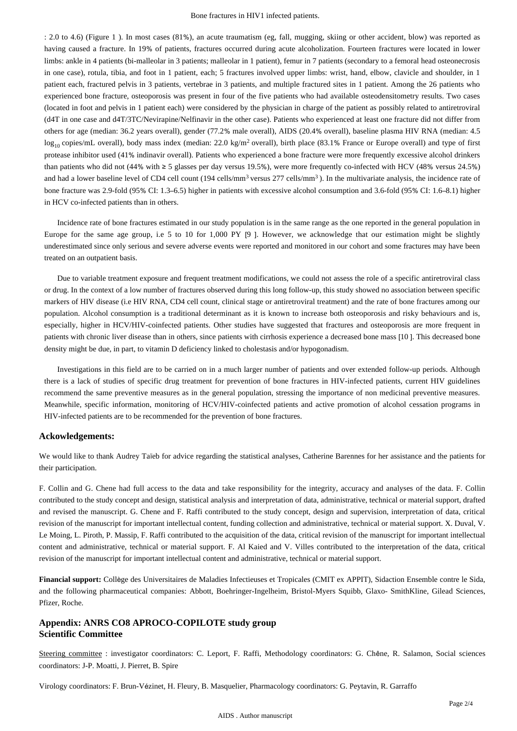: 2.0 to 4.6) (Figure 1 ). In most cases (81%), an acute traumatism (eg, fall, mugging, skiing or other accident, blow) was reported as having caused a fracture. In 19% of patients, fractures occurred during acute alcoholization. Fourteen fractures were located in lower limbs: ankle in 4 patients (bi-malleolar in 3 patients; malleolar in 1 patient), femur in 7 patients (secondary to a femoral head osteonecrosis in one case), rotula, tibia, and foot in 1 patient, each; 5 fractures involved upper limbs: wrist, hand, elbow, clavicle and shoulder, in 1 patient each, fractured pelvis in 3 patients, vertebrae in 3 patients, and multiple fractured sites in 1 patient. Among the 26 patients who experienced bone fracture, osteoporosis was present in four of the five patients who had available osteodensitometry results. Two cases (located in foot and pelvis in 1 patient each) were considered by the physician in charge of the patient as possibly related to antiretroviral (d4T in one case and d4T/3TC/Nevirapine/Nelfinavir in the other case). Patients who experienced at least one fracture did not differ from others for age (median: 36.2 years overall), gender (77.2% male overall), AIDS (20.4% overall), baseline plasma HIV RNA (median: 4.5  $\log_{10}$  copies/mL overall), body mass index (median: 22.0 kg/m<sup>2</sup> overall), birth place (83.1% France or Europe overall) and type of first protease inhibitor used (41% indinavir overall). Patients who experienced a bone fracture were more frequently excessive alcohol drinkers than patients who did not (44% with ≥ 5 glasses per day versus 19.5%), were more frequently co-infected with HCV (48% versus 24.5%) and had a lower baseline level of CD4 cell count  $(194 \text{ cells/mm}^3 \text{ versus } 277 \text{ cells/mm}^3)$ . In the multivariate analysis, the incidence rate of bone fracture was 2.9-fold (95% CI: 1.3–6.5) higher in patients with excessive alcohol consumption and 3.6-fold (95% CI: 1.6–8.1) higher in HCV co-infected patients than in others.

Incidence rate of bone fractures estimated in our study population is in the same range as the one reported in the general population in Europe for the same age group, i.e 5 to 10 for 1,000 PY [9 ]. However, we acknowledge that our estimation might be slightly underestimated since only serious and severe adverse events were reported and monitored in our cohort and some fractures may have been treated on an outpatient basis.

Due to variable treatment exposure and frequent treatment modifications, we could not assess the role of a specific antiretroviral class or drug. In the context of a low number of fractures observed during this long follow-up, this study showed no association between specific markers of HIV disease (i.e HIV RNA, CD4 cell count, clinical stage or antiretroviral treatment) and the rate of bone fractures among our population. Alcohol consumption is a traditional determinant as it is known to increase both osteoporosis and risky behaviours and is, especially, higher in HCV/HIV-coinfected patients. Other studies have suggested that fractures and osteoporosis are more frequent in patients with chronic liver disease than in others, since patients with cirrhosis experience a decreased bone mass [10 ]. This decreased bone density might be due, in part, to vitamin D deficiency linked to cholestasis and/or hypogonadism.

Investigations in this field are to be carried on in a much larger number of patients and over extended follow-up periods. Although there is a lack of studies of specific drug treatment for prevention of bone fractures in HIV-infected patients, current HIV guidelines recommend the same preventive measures as in the general population, stressing the importance of non medicinal preventive measures. Meanwhile, specific information, monitoring of HCV/HIV-coinfected patients and active promotion of alcohol cessation programs in HIV-infected patients are to be recommended for the prevention of bone fractures.

## **Ackowledgements:**

We would like to thank Audrey Taïeb for advice regarding the statistical analyses, Catherine Barennes for her assistance and the patients for their participation.

F. Collin and G. Chene had full access to the data and take responsibility for the integrity, accuracy and analyses of the data. F. Collin contributed to the study concept and design, statistical analysis and interpretation of data, administrative, technical or material support, drafted and revised the manuscript. G. Chene and F. Raffi contributed to the study concept, design and supervision, interpretation of data, critical revision of the manuscript for important intellectual content, funding collection and administrative, technical or material support. X. Duval, V. Le Moing, L. Piroth, P. Massip, F. Raffi contributed to the acquisition of the data, critical revision of the manuscript for important intellectual content and administrative, technical or material support. F. Al Kaied and V. Villes contributed to the interpretation of the data, critical revision of the manuscript for important intellectual content and administrative, technical or material support.

**Financial support:** Collège des Universitaires de Maladies Infectieuses et Tropicales (CMIT ex APPIT), Sidaction Ensemble contre le Sida, and the following pharmaceutical companies: Abbott, Boehringer-Ingelheim, Bristol-Myers Squibb, Glaxo- SmithKline, Gilead Sciences, Pfizer, Roche.

# **Appendix: ANRS CO8 APROCO-COPILOTE study group Scientific Committee**

Steering committee : investigator coordinators: C. Leport, F. Raffi, Methodology coordinators: G. Chêne, R. Salamon, Social sciences coordinators: J-P. Moatti, J. Pierret, B. Spire

Virology coordinators: F. Brun-Vézinet, H. Fleury, B. Masquelier, Pharmacology coordinators: G. Peytavin, R. Garraffo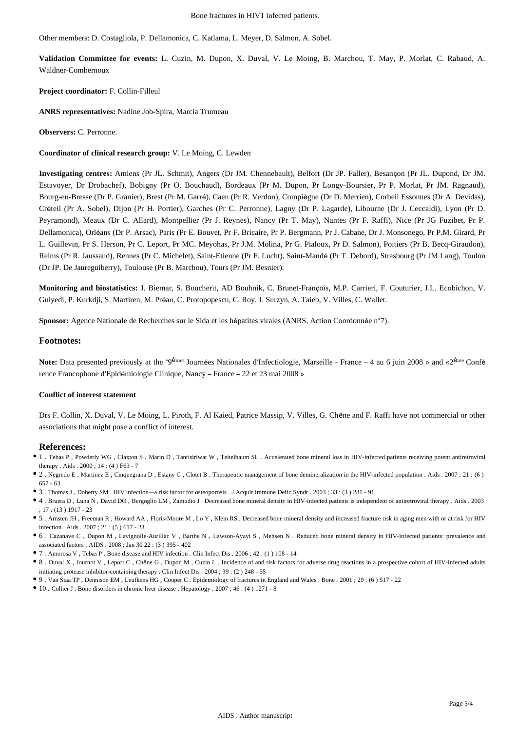Bone fractures in HIV1 infected patients.

Other members: D. Costagliola, P. Dellamonica, C. Katlama, L. Meyer, D. Salmon, A. Sobel.

**Validation Committee for events:** L. Cuzin, M. Dupon, X. Duval, V. Le Moing, B. Marchou, T. May, P. Morlat, C. Rabaud, A. Waldner-Combernoux

#### **Project coordinator:** F. Collin-Filleul

**ANRS representatives:** Nadine Job-Spira, Marcia Trumeau

**Observers:** C. Perronne.

**Coordinator of clinical research group:** V. Le Moing, C. Lewden

**Investigating centres:** Amiens (Pr JL. Schmit), Angers (Dr JM. Chennebault), Belfort (Dr JP. Faller), Besançon (Pr JL. Dupond, Dr JM. Estavoyer, Dr Drobachef), Bobigny (Pr O. Bouchaud), Bordeaux (Pr M. Dupon, Pr Longy-Boursier, Pr P. Morlat, Pr JM. Ragnaud), Bourg-en-Bresse (Dr P. Granier), Brest (Pr M. Garré), Caen (Pr R. Verdon), Compiègne (Dr D. Merrien), Corbeil Essonnes (Dr A. Devidas), Créteil (Pr A. Sobel), Dijon (Pr H. Portier), Garches (Pr C. Perronne), Lagny (Dr P. Lagarde), Libourne (Dr J. Ceccaldi), Lyon (Pr D. Peyramond), Meaux (Dr C. Allard), Montpellier (Pr J. Reynes), Nancy (Pr T. May), Nantes (Pr F. Raffi), Nice (Pr JG Fuzibet, Pr P. Dellamonica), Orléans (Dr P. Arsac), Paris (Pr E. Bouvet, Pr F. Bricaire, Pr P. Bergmann, Pr J. Cabane, Dr J. Monsonego, Pr P.M. Girard, Pr L. Guillevin, Pr S. Herson, Pr C. Leport, Pr MC. Meyohas, Pr J.M. Molina, Pr G. Pialoux, Pr D. Salmon), Poitiers (Pr B. Becq-Giraudon), Reims (Pr R. Jaussaud), Rennes (Pr C. Michelet), Saint-Etienne (Pr F. Lucht), Saint-Mandé (Pr T. Debord), Strasbourg (Pr JM Lang), Toulon (Dr JP. De Jaureguiberry), Toulouse (Pr B. Marchou), Tours (Pr JM. Besnier).

**Monitoring and biostatistics:** J. Biemar, S. Boucherit, AD Bouhnik, C. Brunet-François, M.P. Carrieri, F. Couturier, J.L. Ecobichon, V. Guiyedi, P. Kurkdji, S. Martiren, M. Préau, C. Protopopescu, C. Roy, J. Surzyn, A. Taieb, V. Villes, C. Wallet.

**Sponsor:** Agence Nationale de Recherches sur le Sida et les hépatites virales (ANRS, Action Coordonnée n°7).

## **Footnotes:**

Note: Data presented previously at the "9<sup>èmes</sup> Journées Nationales d'Infectiologie, Marseille - France – 4 au 6 juin 2008 » and «2<sup>ème</sup> Confé rence Francophone d'Epidémiologie Clinique, Nancy – France – 22 et 23 mai 2008 »

#### **Conflict of interest statement**

Drs F. Collin, X. Duval, V. Le Moing, L. Piroth, F. Al Kaied, Patrice Massip, V. Villes, G. Chêne and F. Raffi have not commercial or other associations that might pose a conflict of interest.

#### **References:**

- 1 . Tebas P , Powderly WG , Claxton S , Marin D , Tantisiriwat W , Teitelbaum SL . Accelerated bone mineral loss in HIV-infected patients receiving potent antiretroviral therapy . Aids . 2000 ; 14 : (4 ) F63 - 7
- 2 . Negredo E , Martinez E , Cinquegrana D , Estany C , Clotet B . Therapeutic management of bone demineralization in the HIV-infected population . Aids . 2007 ; 21 : (6 ) 657 - 63
- 3 . Thomas J , Doherty SM . HIV infection—a risk factor for osteoporosis . J Acquir Immune Defic Syndr . 2003 ; 33 : (3 ) 281 91
- 4 . Bruera D , Luna N , David DO , Bergoglio LM , Zamudio J . Decreased bone mineral density in HIV-infected patients is independent of antiretroviral therapy . Aids . 2003 ; 17 : (13 ) 1917 - 23
- 5 . Arnsten JH , Freeman R , Howard AA , Floris-Moore M , Lo Y , Klein RS . Decreased bone mineral density and increased fracture risk in aging men with or at risk for HIV infection . Aids . 2007 ; 21 : (5 ) 617 - 23
- 6 . Cazanave C , Dupon M , Lavignolle-Aurillac V , Barthe N , Lawson-Ayayi S , Mehsen N . Reduced bone mineral density in HIV-infected patients: prevalence and associated factors . AIDS . 2008 ; Jan 30 22 : (3 ) 395 - 402
- 7 . Amorosa V , Tebas P . Bone disease and HIV infection . Clin Infect Dis . 2006 ; 42 : (1 ) 108 14
- 8 . Duval X , Journot V , Leport C , Chêne G , Dupon M , Cuzin L . Incidence of and risk factors for adverse drug reactions in a prospective cohort of HIV-infected adults initiating protease inhibitor-containing therapy . Clin Infect Dis . 2004 ; 39 : (2 ) 248 - 55
- 9 . Van Staa TP , Dennison EM , Leufkens HG , Cooper C . Epidemiology of fractures in England and Wales . Bone . 2001 ; 29 : (6 ) 517 22
- 10 . Collier J . Bone disorders in chronic liver disease . Hepatology . 2007 ; 46 : (4 ) 1271 8